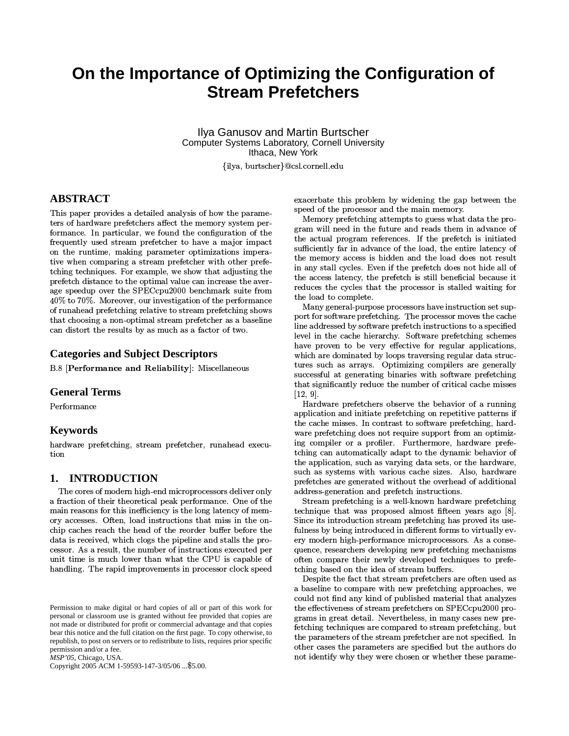# On the Importance of Optimizing the Configuration of **Stream Prefetchers**

**Ilya Ganusov and Martin Burtscher** Computer Systems Laboratory, Cornell University Ithaca, New York

{ilya, burtscher}@csl.cornell.edu

## **ABSTRACT**

This paper provides a detailed analysis of how the parameters of hardware prefetchers affect the memory system performance. In particular, we found the configuration of the frequently used stream prefetcher to have a major impact on the runtime, making parameter optimizations imperative when comparing a stream prefetcher with other prefetching techniques. For example, we show that adjusting the prefetch distance to the optimal value can increase the average speedup over the SPECcpu2000 benchmark suite from 40% to 70%. Moreover, our investigation of the performance of runahead prefetching relative to stream prefetching shows that choosing a non-optimal stream prefetcher as a baseline can distort the results by as much as a factor of two.

### **Categories and Subject Descriptors**

B.8 [Performance and Reliability]: Miscellaneous

### **General Terms**

Performance

### **Keywords**

hardware prefetching, stream prefetcher, runahead execution

### **INTRODUCTION** 1.

The cores of modern high-end microprocessors deliver only a fraction of their theoretical peak performance. One of the main reasons for this inefficiency is the long latency of memory accesses. Often, load instructions that miss in the onchip caches reach the head of the reorder buffer before the data is received, which clogs the pipeline and stalls the processor. As a result, the number of instructions executed per unit time is much lower than what the CPU is capable of handling. The rapid improvements in processor clock speed

MSP'05, Chicago, USA.

Copyright 2005 ACM 1-59593-147-3/05/06 ... \$5.00.

exacerbate this problem by widening the gap between the speed of the processor and the main memory.

Memory prefetching attempts to guess what data the program will need in the future and reads them in advance of the actual program references. If the prefetch is initiated sufficiently far in advance of the load, the entire latency of the memory access is hidden and the load does not result in any stall cycles. Even if the prefetch does not hide all of the access latency, the prefetch is still beneficial because it reduces the cycles that the processor is stalled waiting for the load to complete.

Many general-purpose processors have instruction set support for software prefetching. The processor moves the cache line addressed by software prefetch instructions to a specified level in the cache hierarchy. Software prefetching schemes have proven to be very effective for regular applications, which are dominated by loops traversing regular data structures such as arrays. Optimizing compilers are generally successful at generating binaries with software prefetching that significantly reduce the number of critical cache misses  $[12, 9]$ .

Hardware prefetchers observe the behavior of a running application and initiate prefetching on repetitive patterns if the cache misses. In contrast to software prefetching, hardware prefetching does not require support from an optimizing compiler or a profiler. Furthermore, hardware prefetching can automatically adapt to the dynamic behavior of the application, such as varying data sets, or the hardware, such as systems with various cache sizes. Also, hardware prefetches are generated without the overhead of additional address-generation and prefetch instructions.

Stream prefetching is a well-known hardware prefetching technique that was proposed almost fifteen years ago [8]. Since its introduction stream prefetching has proved its usefulness by being introduced in different forms to virtually every modern high-performance microprocessors. As a consequence, researchers developing new prefetching mechanisms often compare their newly developed techniques to prefetching based on the idea of stream buffers.

Despite the fact that stream prefetchers are often used as a baseline to compare with new prefetching approaches, we could not find any kind of published material that analyzes the effectiveness of stream prefetchers on SPECcpu2000 programs in great detail. Nevertheless, in many cases new prefetching techniques are compared to stream prefetching, but the parameters of the stream prefetcher are not specified. In other cases the parameters are specified but the authors do not identify why they were chosen or whether these parame-

Permission to make digital or hard copies of all or part of this work for personal or classroom use is granted without fee provided that copies are not made or distributed for profit or commercial advantage and that copies bear this notice and the full citation on the first page. To copy otherwise, to republish, to post on servers or to redistribute to lists, requires prior specific permission and/or a fee.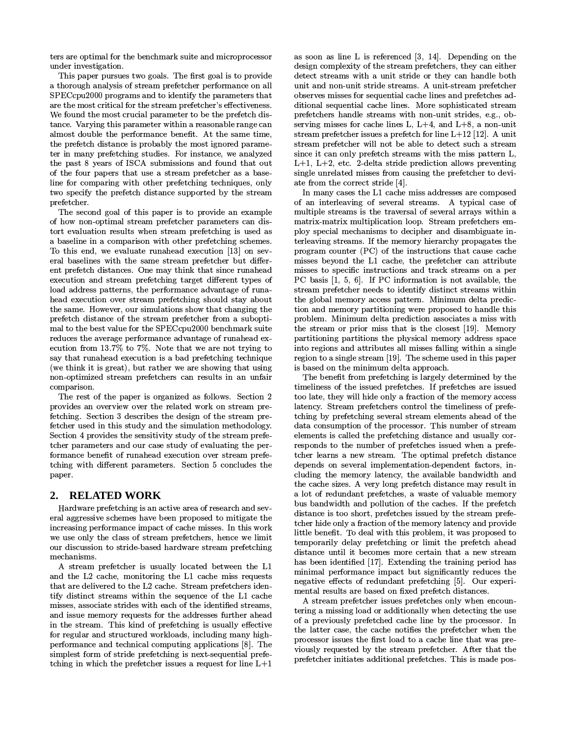ters are optimal for the benchmark suite and microprocessor under investigation.

This paper pursues two goals. The first goal is to provide a thorough analysis of stream prefetcher performance on all SPECcpu2000 programs and to identify the parameters that are the most critical for the stream prefetcher's effectiveness. We found the most crucial parameter to be the prefetch distance. Varying this parameter within a reasonable range can almost double the performance benefit. At the same time, the prefetch distance is probably the most ignored parameter in many prefetching studies. For instance, we analyzed the past 8 years of ISCA submissions and found that out of the four papers that use a stream prefetcher as a baseline for comparing with other prefetching techniques, only two specify the prefetch distance supported by the stream prefetcher.

The second goal of this paper is to provide an example of how non-optimal stream prefetcher parameters can distort evaluation results when stream prefetching is used as a baseline in a comparison with other prefetching schemes. To this end, we evaluate runahead execution [13] on several baselines with the same stream prefetcher but different prefetch distances. One may think that since runahead execution and stream prefetching target different types of load address patterns, the performance advantage of runahead execution over stream prefetching should stay about the same. However, our simulations show that changing the prefetch distance of the stream prefetcher from a suboptimal to the best value for the SPECcpu2000 benchmark suite reduces the average performance advantage of runahead execution from 13.7% to 7%. Note that we are not trying to say that runahead execution is a bad prefetching technique (we think it is great), but rather we are showing that using non-optimized stream prefetchers can results in an unfair comparison.

The rest of the paper is organized as follows. Section 2 provides an overview over the related work on stream prefetching. Section 3 describes the design of the stream prefetcher used in this study and the simulation methodology. Section 4 provides the sensitivity study of the stream prefetcher parameters and our case study of evaluating the performance benefit of runahead execution over stream prefetching with different parameters. Section 5 concludes the paper.

### **RELATED WORK**  $2.$

Hardware prefetching is an active area of research and several aggressive schemes have been proposed to mitigate the increasing performance impact of cache misses. In this work we use only the class of stream prefetchers, hence we limit our discussion to stride-based hardware stream prefetching mechanisms.

A stream prefetcher is usually located between the L1 and the L2 cache, monitoring the L1 cache miss requests that are delivered to the L2 cache. Stream prefetchers identify distinct streams within the sequence of the L1 cache misses, associate strides with each of the identified streams, and issue memory requests for the addresses further ahead in the stream. This kind of prefetching is usually effective for regular and structured workloads, including many highperformance and technical computing applications [8]. The simplest form of stride prefetching is next-sequential prefetching in which the prefetcher issues a request for line  $L+1$ 

as soon as line L is referenced  $[3, 14]$ . Depending on the design complexity of the stream prefetchers, they can either detect streams with a unit stride or they can handle both unit and non-unit stride streams. A unit-stream prefetcher observes misses for sequential cache lines and prefetches additional sequential cache lines. More sophisticated stream prefetchers handle streams with non-unit strides, e.g., observing misses for cache lines L,  $L+4$ , and  $L+8$ , a non-unit stream prefetcher issues a prefetch for line  $L+12$  [12]. A unit stream prefetcher will not be able to detect such a stream since it can only prefetch streams with the miss pattern L,  $L+1$ ,  $L+2$ , etc. 2-delta stride prediction allows preventing single unrelated misses from causing the prefetcher to deviate from the correct stride [4].

In many cases the L1 cache miss addresses are composed of an interleaving of several streams. A typical case of multiple streams is the traversal of several arrays within a matrix-matrix multiplication loop. Stream prefetchers employ special mechanisms to decipher and disambiguate interleaving streams. If the memory hierarchy propagates the program counter (PC) of the instructions that cause cache misses beyond the L1 cache, the prefetcher can attribute misses to specific instructions and track streams on a per PC basis [1, 5, 6]. If PC information is not available, the stream prefetcher needs to identify distinct streams within the global memory access pattern. Minimum delta prediction and memory partitioning were proposed to handle this problem. Minimum delta prediction associates a miss with the stream or prior miss that is the closest [19]. Memory partitioning partitions the physical memory address space into regions and attributes all misses falling within a single region to a single stream [19]. The scheme used in this paper is based on the minimum delta approach.

The benefit from prefetching is largely determined by the timeliness of the issued prefetches. If prefetches are issued too late, they will hide only a fraction of the memory access latency. Stream prefetchers control the timeliness of prefetching by prefetching several stream elements ahead of the data consumption of the processor. This number of stream elements is called the prefetching distance and usually corresponds to the number of prefetches issued when a prefetcher learns a new stream. The optimal prefetch distance depends on several implementation-dependent factors, including the memory latency, the available bandwidth and the cache sizes. A very long prefetch distance may result in a lot of redundant prefetches, a waste of valuable memory bus bandwidth and pollution of the caches. If the prefetch distance is too short, prefetches issued by the stream prefetcher hide only a fraction of the memory latency and provide little benefit. To deal with this problem, it was proposed to temporarily delay prefetching or limit the prefetch ahead distance until it becomes more certain that a new stream has been identified [17]. Extending the training period has minimal performance impact but significantly reduces the negative effects of redundant prefetching [5]. Our experimental results are based on fixed prefetch distances.

A stream prefetcher issues prefetches only when encountering a missing load or additionally when detecting the use of a previously prefetched cache line by the processor. In the latter case, the cache notifies the prefetcher when the processor issues the first load to a cache line that was previously requested by the stream prefetcher. After that the prefetcher initiates additional prefetches. This is made pos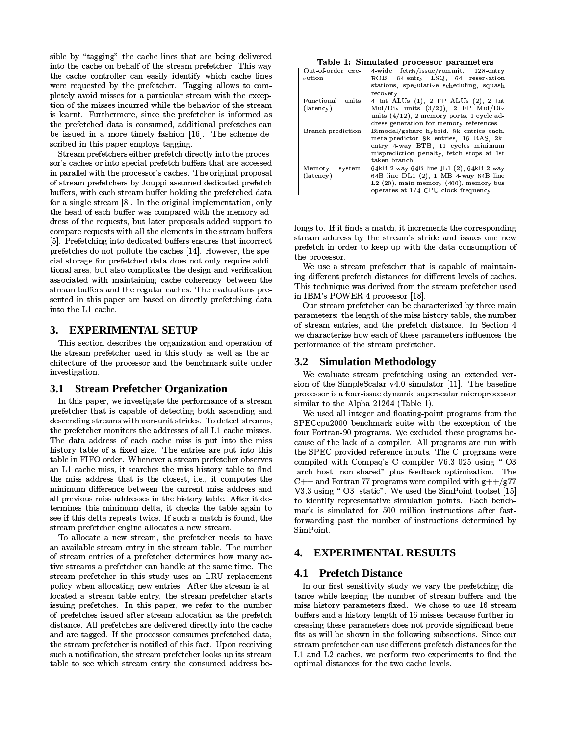sible by "tagging" the cache lines that are being delivered into the cache on behalf of the stream prefetcher. This way the cache controller can easily identify which cache lines were requested by the prefetcher. Tagging allows to completely avoid misses for a particular stream with the exception of the misses incurred while the behavior of the stream is learnt. Furthermore, since the prefetcher is informed as the prefetched data is consumed, additional prefetches can be issued in a more timely fashion [16]. The scheme described in this paper employs tagging.

Stream prefetchers either prefetch directly into the processor's caches or into special prefetch buffers that are accessed in parallel with the processor's caches. The original proposal of stream prefetchers by Jouppi assumed dedicated prefetch buffers, with each stream buffer holding the prefetched data for a single stream [8]. In the original implementation, only the head of each buffer was compared with the memory address of the requests, but later proposals added support to compare requests with all the elements in the stream buffers [5]. Prefetching into dedicated buffers ensures that incorrect prefetches do not pollute the caches [14]. However, the special storage for prefetched data does not only require additional area, but also complicates the design and verification associated with maintaining cache coherency between the stream buffers and the regular caches. The evaluations presented in this paper are based on directly prefetching data into the L1 cache.

### 3. EXPERIMENTAL SETUP

This section describes the organization and operation of the stream prefetcher used in this study as well as the architecture of the processor and the benchmark suite under investigation.

#### **Stream Prefetcher Organization 3.1**

In this paper, we investigate the performance of a stream prefetcher that is capable of detecting both ascending and descending streams with non-unit strides. To detect streams, the prefetcher monitors the addresses of all L1 cache misses. The data address of each cache miss is put into the miss history table of a fixed size. The entries are put into this table in FIFO order. Whenever a stream prefetcher observes an L1 cache miss, it searches the miss history table to find the miss address that is the closest, i.e., it computes the minimum difference between the current miss address and all previous miss addresses in the history table. After it determines this minimum delta, it checks the table again to see if this delta repeats twice. If such a match is found, the stream prefetcher engine allocates a new stream.

To allocate a new stream, the prefetcher needs to have an available stream entry in the stream table. The number of stream entries of a prefetcher determines how many active streams a prefetcher can handle at the same time. The stream prefetcher in this study uses an LRU replacement policy when allocating new entries. After the stream is allocated a stream table entry, the stream prefetcher starts issuing prefetches. In this paper, we refer to the number of prefetches issued after stream allocation as the prefetch distance. All prefetches are delivered directly into the cache and are tagged. If the processor consumes prefetched data, the stream prefetcher is notified of this fact. Upon receiving such a notification, the stream prefetcher looks up its stream table to see which stream entry the consumed address be-

|  |  | Table 1: Simulated processor parameters |
|--|--|-----------------------------------------|
|  |  |                                         |

| Out-of-order exe-<br>cution      | 4-wide fetch/issue/commit, 128-entry<br>64 entry LSQ, 64 reservation<br>ROB.<br>stations, speculative scheduling, squash<br>recovery                                                 |  |  |  |
|----------------------------------|--------------------------------------------------------------------------------------------------------------------------------------------------------------------------------------|--|--|--|
| Functional<br>units<br>(latency) | 4 Int ALUs (1), 2 FP ALUs (2), 2 Int<br>Mul/Div units $(3/20)$ , 2 FP Mul/Div<br>units $(4/12)$ , 2 memory ports, 1 cycle ad-<br>dress generation for memory references              |  |  |  |
| Branch prediction                | Bimodal/gshare hybrid, 8k entries each.<br>meta-predictor 8k entries, 16 RAS, 2k-<br>entry 4 way BTB, 11 cycles minimum<br>misprediction penalty, fetch stops at 1st<br>taken branch |  |  |  |
| system<br>Memory<br>(latency)    | 64kB 2 way 64B line IL1 (2), 64kB 2 way<br>64B line DL1 (2), 1 MB 4-way 64B line<br>$L2(20)$ , main memory $(400)$ , memory bus<br>operates at 1/4 CPU clock frequency               |  |  |  |

longs to. If it finds a match, it increments the corresponding stream address by the stream's stride and issues one new prefetch in order to keep up with the data consumption of the processor.

We use a stream prefetcher that is capable of maintaining different prefetch distances for different levels of caches. This technique was derived from the stream prefetcher used in IBM's POWER 4 processor [18].

Our stream prefetcher can be characterized by three main parameters: the length of the miss history table, the number of stream entries, and the prefetch distance. In Section 4 we characterize how each of these parameters influences the performance of the stream prefetcher.

### **3.2 Simulation Methodology**

We evaluate stream prefetching using an extended version of the SimpleScalar v4.0 simulator [11]. The baseline processor is a four-issue dynamic superscalar microprocessor similar to the Alpha 21264 (Table 1).

We used all integer and floating-point programs from the SPECcpu2000 benchmark suite with the exception of the four Fortran-90 programs. We excluded these programs because of the lack of a compiler. All programs are run with the SPEC-provided reference inputs. The C programs were compiled with Compaq's C compiler V6.3 025 using "-O3 -arch host -non-shared" plus feedback optimization. The C++ and Fortran 77 programs were compiled with  $g$ ++/g77 V3.3 using "-O3-static". We used the SimPoint toolset [15] to identify representative simulation points. Each benchmark is simulated for 500 million instructions after fastforwarding past the number of instructions determined by SimPoint.

### **EXPERIMENTAL RESULTS** 4.

#### 4.1 **Prefetch Distance**

In our first sensitivity study we vary the prefetching distance while keeping the number of stream buffers and the miss history parameters fixed. We chose to use 16 stream buffers and a history length of 16 misses because further increasing these parameters does not provide significant benefits as will be shown in the following subsections. Since our stream prefetcher can use different prefetch distances for the L1 and L2 caches, we perform two experiments to find the optimal distances for the two cache levels.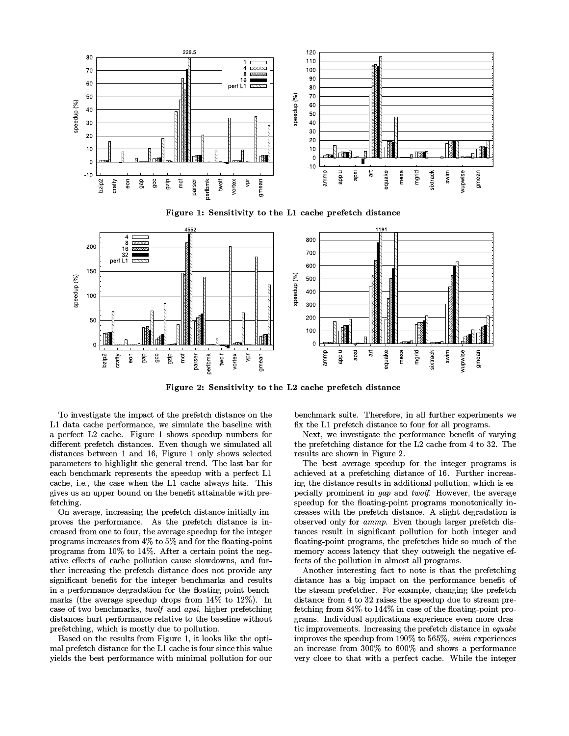

Figure 1: Sensitivity to the L1 cache prefetch distance



Figure 2: Sensitivity to the L2 cache prefetch distance

To investigate the impact of the prefetch distance on the L1 data cache performance, we simulate the baseline with a perfect L2 cache. Figure 1 shows speedup numbers for different prefetch distances. Even though we simulated all distances between 1 and 16, Figure 1 only shows selected parameters to highlight the general trend. The last bar for each benchmark represents the speedup with a perfect L1 cache, i.e., the case when the L1 cache always hits. This gives us an upper bound on the benefit attainable with prefetching.

On average, increasing the prefetch distance initially improves the performance. As the prefetch distance is increased from one to four, the average speedup for the integer programs increases from 4% to 5% and for the floating-point programs from 10% to 14%. After a certain point the negative effects of cache pollution cause slowdowns, and further increasing the prefetch distance does not provide any significant benefit for the integer benchmarks and results in a performance degradation for the floating-point benchmarks (the average speedup drops from  $14\%$  to  $12\%$ ). In case of two benchmarks, twolf and apsi, higher prefetching distances hurt performance relative to the baseline without prefetching, which is mostly due to pollution.

Based on the results from Figure 1, it looks like the optimal prefetch distance for the L1 cache is four since this value yields the best performance with minimal pollution for our

benchmark suite. Therefore, in all further experiments we fix the L1 prefetch distance to four for all programs.

Next, we investigate the performance benefit of varying the prefetching distance for the L2 cache from 4 to 32. The results are shown in Figure 2.

The best average speedup for the integer programs is achieved at a prefetching distance of 16. Further increasing the distance results in additional pollution, which is especially prominent in *qap* and *twolf*. However, the average speedup for the floating-point programs monotonically increases with the prefetch distance. A slight degradation is observed only for ammp. Even though larger prefetch distances result in significant pollution for both integer and floating-point programs, the prefetches hide so much of the memory access latency that they outweigh the negative effects of the pollution in almost all programs.

Another interesting fact to note is that the prefetching distance has a big impact on the performance benefit of the stream prefetcher. For example, changing the prefetch distance from 4 to 32 raises the speedup due to stream prefetching from 84% to 144% in case of the floating-point programs. Individual applications experience even more drastic improvements. Increasing the prefetch distance in equake improves the speedup from 190% to 565%, swim experiences an increase from 300% to 600% and shows a performance very close to that with a perfect cache. While the integer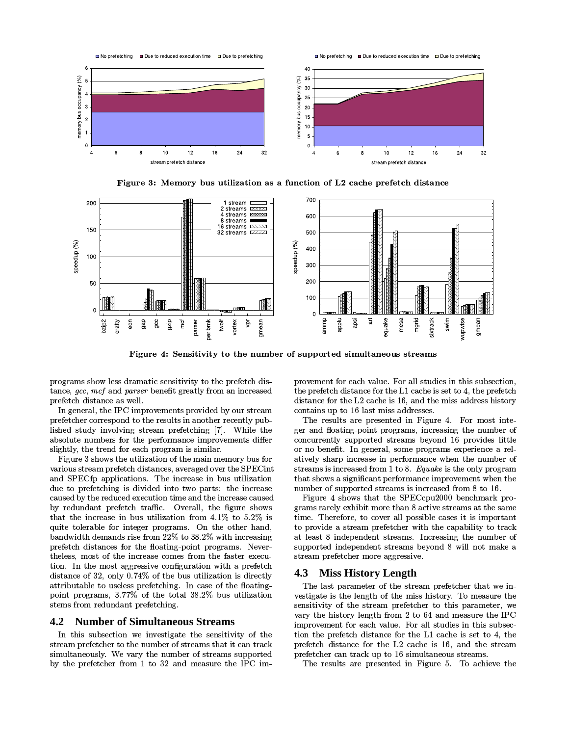

Figure 3: Memory bus utilization as a function of L2 cache prefetch distance



Figure 4: Sensitivity to the number of supported simultaneous streams

programs show less dramatic sensitivity to the prefetch distance, gcc, mcf and parser benefit greatly from an increased prefetch distance as well.

In general, the IPC improvements provided by our stream prefetcher correspond to the results in another recently published study involving stream prefetching [7]. While the absolute numbers for the performance improvements differ slightly, the trend for each program is similar.

Figure 3 shows the utilization of the main memory bus for various stream prefetch distances, averaged over the SPECint and SPECfp applications. The increase in bus utilization due to prefetching is divided into two parts: the increase caused by the reduced execution time and the increase caused by redundant prefetch traffic. Overall, the figure shows that the increase in bus utilization from  $4.1\%$  to  $5.2\%$  is quite tolerable for integer programs. On the other hand, bandwidth demands rise from 22% to 38.2% with increasing prefetch distances for the floating-point programs. Nevertheless, most of the increase comes from the faster execution. In the most aggressive configuration with a prefetch distance of 32, only 0.74% of the bus utilization is directly attributable to useless prefetching. In case of the floating point programs, 3.77% of the total 38.2% bus utilization stems from redundant prefetching.

#### $4.2$ **Number of Simultaneous Streams**

In this subsection we investigate the sensitivity of the stream prefetcher to the number of streams that it can track simultaneously. We vary the number of streams supported by the prefetcher from 1 to 32 and measure the IPC improvement for each value. For all studies in this subsection, the prefetch distance for the L1 cache is set to 4, the prefetch distance for the L2 cache is 16, and the miss address history contains up to 16 last miss addresses.

The results are presented in Figure 4. For most integer and floating-point programs, increasing the number of concurrently supported streams beyond 16 provides little or no benefit. In general, some programs experience a relatively sharp increase in performance when the number of streams is increased from 1 to 8.  $Equake$  is the only program that shows a significant performance improvement when the number of supported streams is increased from 8 to 16.

Figure 4 shows that the SPECcpu2000 benchmark programs rarely exhibit more than 8 active streams at the same time. Therefore, to cover all possible cases it is important to provide a stream prefetcher with the capability to track at least 8 independent streams. Increasing the number of supported independent streams beyond 8 will not make a stream prefetcher more aggressive.

### 4.3 Miss History Length

The last parameter of the stream prefetcher that we investigate is the length of the miss history. To measure the sensitivity of the stream prefetcher to this parameter, we vary the history length from 2 to 64 and measure the IPC improvement for each value. For all studies in this subsection the prefetch distance for the L1 cache is set to 4, the prefetch distance for the L2 cache is 16, and the stream prefetcher can track up to 16 simultaneous streams.

The results are presented in Figure 5. To achieve the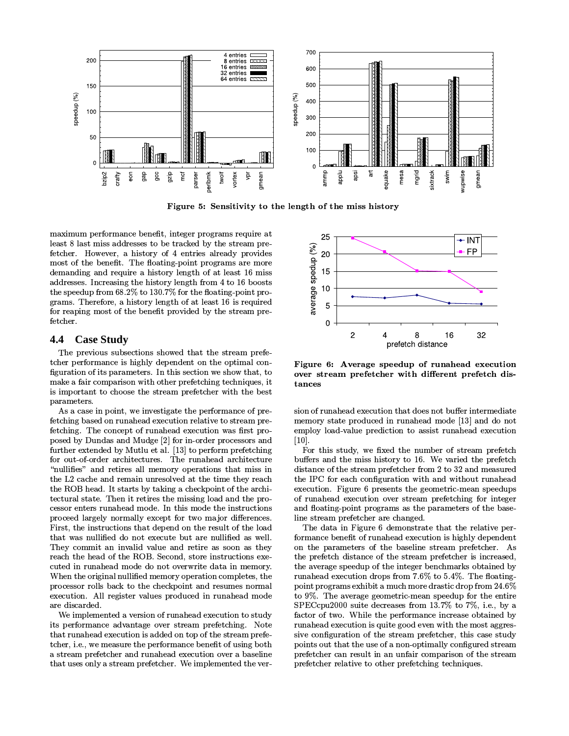

Figure 5: Sensitivity to the length of the miss history

maximum performance benefit, integer programs require at least 8 last miss addresses to be tracked by the stream prefetcher. However, a history of 4 entries already provides most of the benefit. The floating-point programs are more demanding and require a history length of at least 16 miss addresses. Increasing the history length from 4 to 16 boosts the speedup from  $68.2\%$  to  $130.7\%$  for the floating-point programs. Therefore, a history length of at least 16 is required for reaping most of the benefit provided by the stream prefetcher.

### 4.4 **Case Study**

The previous subsections showed that the stream prefetcher performance is highly dependent on the optimal configuration of its parameters. In this section we show that, to make a fair comparison with other prefetching techniques, it is important to choose the stream prefetcher with the best parameters.

As a case in point, we investigate the performance of prefetching based on runahead execution relative to stream prefetching. The concept of runahead execution was first proposed by Dundas and Mudge [2] for in-order processors and further extended by Mutlu et al. [13] to perform prefetching for out-of-order architectures. The runahead architecture "nullifies" and retires all memory operations that miss in the L2 cache and remain unresolved at the time they reach the ROB head. It starts by taking a checkpoint of the architectural state. Then it retires the missing load and the processor enters runahead mode. In this mode the instructions proceed largely normally except for two major differences. First, the instructions that depend on the result of the load that was nullified do not execute but are nullified as well. They commit an invalid value and retire as soon as they reach the head of the ROB. Second, store instructions executed in runahead mode do not overwrite data in memory. When the original nullified memory operation completes, the processor rolls back to the checkpoint and resumes normal execution. All register values produced in runahead mode are discarded.

We implemented a version of runahead execution to study its performance advantage over stream prefetching. Note that runahead execution is added on top of the stream prefetcher, i.e., we measure the performance benefit of using both a stream prefetcher and runahead execution over a baseline that uses only a stream prefetcher. We implemented the ver-



Figure 6: Average speedup of runahead execution over stream prefetcher with different prefetch distances

sion of runahead execution that does not buffer intermediate memory state produced in runahead mode [13] and do not employ load value prediction to assist runahead execution  $[10]$ 

For this study, we fixed the number of stream prefetch buffers and the miss history to 16. We varied the prefetch distance of the stream prefetcher from 2 to 32 and measured the IPC for each configuration with and without runahead execution. Figure 6 presents the geometric-mean speedups of runahead execution over stream prefetching for integer and floating-point programs as the parameters of the baseline stream prefetcher are changed.

The data in Figure 6 demonstrate that the relative performance benefit of runahead execution is highly dependent on the parameters of the baseline stream prefetcher. As the prefetch distance of the stream prefetcher is increased, the average speedup of the integer benchmarks obtained by runahead execution drops from 7.6% to 5.4%. The floatingpoint programs exhibit a much more drastic drop from 24.6% to 9%. The average geometric-mean speedup for the entire SPECcpu2000 suite decreases from  $13.7\%$  to 7%, i.e., by a factor of two. While the performance increase obtained by runahead execution is quite good even with the most aggressive configuration of the stream prefetcher, this case study points out that the use of a non-optimally configured stream prefetcher can result in an unfair comparison of the stream prefetcher relative to other prefetching techniques.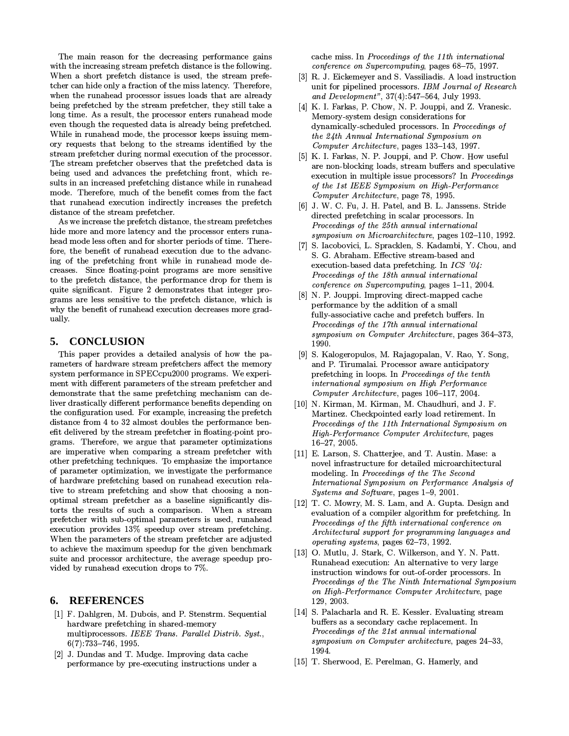The main reason for the decreasing performance gains with the increasing stream prefetch distance is the following. When a short prefetch distance is used, the stream prefetcher can hide only a fraction of the miss latency. Therefore, when the runahead processor issues loads that are already being prefetched by the stream prefetcher, they still take a long time. As a result, the processor enters runahead mode even though the requested data is already being prefetched. While in runahead mode, the processor keeps issuing memory requests that belong to the streams identified by the stream prefetcher during normal execution of the processor. The stream prefetcher observes that the prefetched data is being used and advances the prefetching front, which results in an increased prefetching distance while in runahead mode. Therefore, much of the benefit comes from the fact that runahead execution indirectly increases the prefetch distance of the stream prefetcher.

As we increase the prefetch distance, the stream prefetches hide more and more latency and the processor enters runahead mode less often and for shorter periods of time. Therefore, the benefit of runahead execution due to the advancing of the prefetching front while in runahead mode decreases. Since floating-point programs are more sensitive to the prefetch distance, the performance drop for them is quite significant. Figure 2 demonstrates that integer programs are less sensitive to the prefetch distance, which is why the benefit of runahead execution decreases more gradually.

#### 5. **CONCLUSION**

This paper provides a detailed analysis of how the parameters of hardware stream prefetchers affect the memory system performance in SPECcpu2000 programs. We experiment with different parameters of the stream prefetcher and demonstrate that the same prefetching mechanism can deliver drastically different performance benefits depending on the configuration used. For example, increasing the prefetch distance from 4 to 32 almost doubles the performance benefit delivered by the stream prefetcher in floating-point programs. Therefore, we argue that parameter optimizations are imperative when comparing a stream prefetcher with other prefetching techniques. To emphasize the importance of parameter optimization, we investigate the performance of hardware prefetching based on runahead execution relative to stream prefetching and show that choosing a nonoptimal stream prefetcher as a baseline significantly distorts the results of such a comparison. When a stream prefetcher with sub-optimal parameters is used, runahead execution provides 13% speedup over stream prefetching. When the parameters of the stream prefetcher are adjusted to achieve the maximum speedup for the given benchmark suite and processor architecture, the average speedup provided by runahead execution drops to 7%.

### **REFERENCES** 6.

- [1] F. Dahlgren, M. Dubois, and P. Stenstrm. Sequential hardware prefetching in shared-memory multiprocessors. IEEE Trans. Parallel Distrib. Syst.,  $6(7)$ :733-746, 1995.
- [2] J. Dundas and T. Mudge. Improving data cache performance by pre-executing instructions under a

cache miss. In Proceedings of the 11th international conference on Supercomputing, pages 68-75, 1997.

- [3] R. J. Eickemeyer and S. Vassiliadis. A load instruction unit for pipelined processors. IBM Journal of Research and Development", 37(4):547-564, July 1993.
- [4] K. I. Farkas, P. Chow, N. P. Jouppi, and Z. Vranesic. Memory-system design considerations for dynamically-scheduled processors. In Proceedings of the 24th Annual International Symposium on Computer Architecture, pages 133-143, 1997.
- [5] K. I. Farkas, N. P. Jouppi, and P. Chow. How useful are non-blocking loads, stream buffers and speculative execution in multiple issue processors? In Proceedings of the 1st IEEE Symposium on High-Performance Computer Architecture, page 78, 1995.
- [6] J. W. C. Fu, J. H. Patel, and B. L. Janssens. Stride directed prefetching in scalar processors. In Proceedings of the 25th annual international symposium on Microarchitecture, pages 102-110, 1992.
- [7] S. Iacobovici, L. Spracklen, S. Kadambi, Y. Chou, and S. G. Abraham. Effective stream-based and execution-based data prefetching. In  $ICS$  '04: Proceedings of the 18th annual international conference on Supercomputing, pages 1-11, 2004.
- [8] N. P. Jouppi. Improving direct-mapped cache performance by the addition of a small fully-associative cache and prefetch buffers. In Proceedings of the 17th annual international symposium on Computer Architecture, pages 364-373, 1990.
- [9] S. Kalogeropulos, M. Rajagopalan, V. Rao, Y. Song, and P. Tirumalai. Processor aware anticipatory prefetching in loops. In Proceedings of the tenth international symposium on High Performance Computer Architecture, pages 106-117, 2004.
- [10] N. Kirman, M. Kirman, M. Chaudhuri, and J. F. Martinez. Checkpointed early load retirement. In Proceedings of the 11th International Symposium on High-Performance Computer Architecture, pages  $16 - 27, 2005.$
- [11] E. Larson, S. Chatterjee, and T. Austin. Mase: a novel infrastructure for detailed microarchitectural modeling. In Proceedings of the The Second International Symposium on Performance Analysis of Systems and Software, pages 1-9, 2001.
- [12] T. C. Mowry, M. S. Lam, and A. Gupta, Design and evaluation of a compiler algorithm for prefetching. In Proceedings of the fifth international conference on Architectural support for programming languages and operating systems, pages 62-73, 1992.
- [13] O. Mutlu, J. Stark, C. Wilkerson, and Y. N. Patt. Runahead execution: An alternative to very large instruction windows for out-of-order processors. In Proceedings of the The Ninth International Symposium on High-Performance Computer Architecture, page 129, 2003.
- [14] S. Palacharla and R. E. Kessler. Evaluating stream buffers as a secondary cache replacement. In Proceedings of the 21st annual international symposium on Computer architecture, pages 24-33, 1994.
- [15] T. Sherwood, E. Perelman, G. Hamerly, and